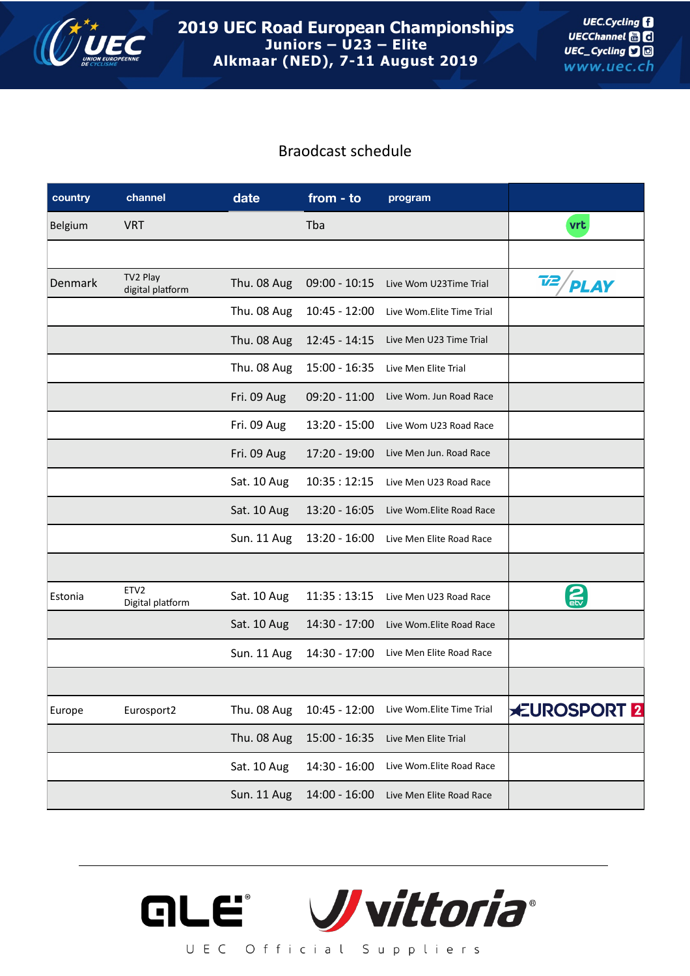

## Braodcast schedule

| country | channel                              | date        | from - to       | program                   |                    |
|---------|--------------------------------------|-------------|-----------------|---------------------------|--------------------|
| Belgium | <b>VRT</b>                           |             | Tba             |                           | vrt                |
|         |                                      |             |                 |                           |                    |
| Denmark | TV2 Play<br>digital platform         | Thu. 08 Aug | $09:00 - 10:15$ | Live Wom U23Time Trial    | Τ2<br><b>PLAY</b>  |
|         |                                      | Thu. 08 Aug | $10:45 - 12:00$ | Live Wom.Elite Time Trial |                    |
|         |                                      | Thu. 08 Aug | $12:45 - 14:15$ | Live Men U23 Time Trial   |                    |
|         |                                      | Thu. 08 Aug | 15:00 - 16:35   | Live Men Elite Trial      |                    |
|         |                                      | Fri. 09 Aug | $09:20 - 11:00$ | Live Wom. Jun Road Race   |                    |
|         |                                      | Fri. 09 Aug | 13:20 - 15:00   | Live Wom U23 Road Race    |                    |
|         |                                      | Fri. 09 Aug | 17:20 - 19:00   | Live Men Jun. Road Race   |                    |
|         |                                      | Sat. 10 Aug | 10:35:12:15     | Live Men U23 Road Race    |                    |
|         |                                      | Sat. 10 Aug | $13:20 - 16:05$ | Live Wom.Elite Road Race  |                    |
|         |                                      | Sun. 11 Aug | $13:20 - 16:00$ | Live Men Elite Road Race  |                    |
|         |                                      |             |                 |                           |                    |
| Estonia | ETV <sub>2</sub><br>Digital platform | Sat. 10 Aug | 11:35:13:15     | Live Men U23 Road Race    | $\mathbf{2}$       |
|         |                                      | Sat. 10 Aug | 14:30 - 17:00   | Live Wom.Elite Road Race  |                    |
|         |                                      | Sun. 11 Aug | 14:30 - 17:00   | Live Men Elite Road Race  |                    |
|         |                                      |             |                 |                           |                    |
| Europe  | Eurosport2                           | Thu. 08 Aug | $10:45 - 12:00$ | Live Wom.Elite Time Trial | <b>EUROSPORT 2</b> |
|         |                                      | Thu. 08 Aug | $15:00 - 16:35$ | Live Men Elite Trial      |                    |
|         |                                      | Sat. 10 Aug | 14:30 - 16:00   | Live Wom.Elite Road Race  |                    |
|         |                                      | Sun. 11 Aug | $14:00 - 16:00$ | Live Men Elite Road Race  |                    |